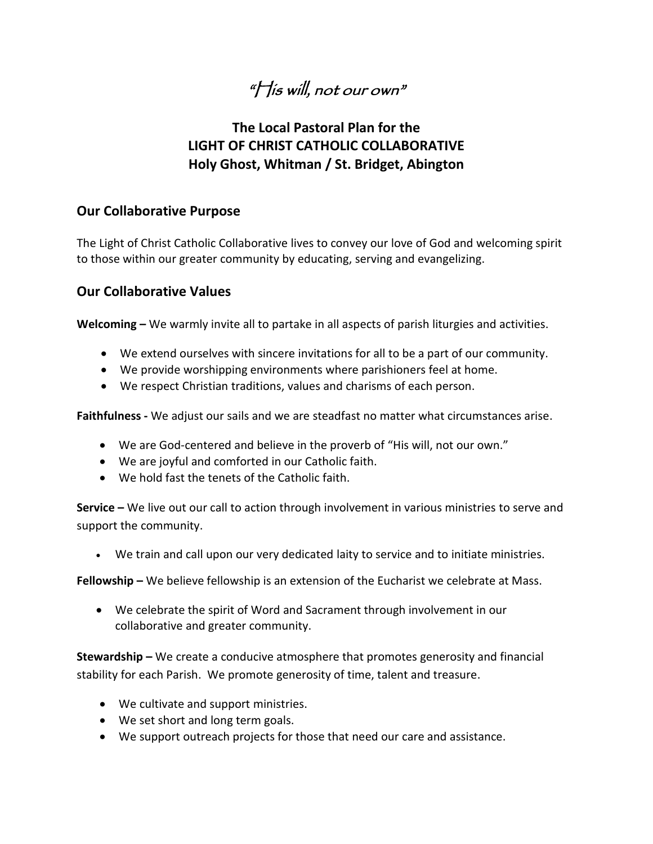# $\mathscr{C}$  is will, not our own"

## **The Local Pastoral Plan for the LIGHT OF CHRIST CATHOLIC COLLABORATIVE Holy Ghost, Whitman / St. Bridget, Abington**

## **Our Collaborative Purpose**

The Light of Christ Catholic Collaborative lives to convey our love of God and welcoming spirit to those within our greater community by educating, serving and evangelizing.

## **Our Collaborative Values**

**Welcoming –** We warmly invite all to partake in all aspects of parish liturgies and activities.

- We extend ourselves with sincere invitations for all to be a part of our community.
- We provide worshipping environments where parishioners feel at home.
- We respect Christian traditions, values and charisms of each person.

**Faithfulness -** We adjust our sails and we are steadfast no matter what circumstances arise.

- We are God-centered and believe in the proverb of "His will, not our own."
- We are joyful and comforted in our Catholic faith.
- We hold fast the tenets of the Catholic faith.

**Service –** We live out our call to action through involvement in various ministries to serve and support the community.

We train and call upon our very dedicated laity to service and to initiate ministries.

**Fellowship –** We believe fellowship is an extension of the Eucharist we celebrate at Mass.

 We celebrate the spirit of Word and Sacrament through involvement in our collaborative and greater community.

**Stewardship –** We create a conducive atmosphere that promotes generosity and financial stability for each Parish. We promote generosity of time, talent and treasure.

- We cultivate and support ministries.
- We set short and long term goals.
- We support outreach projects for those that need our care and assistance.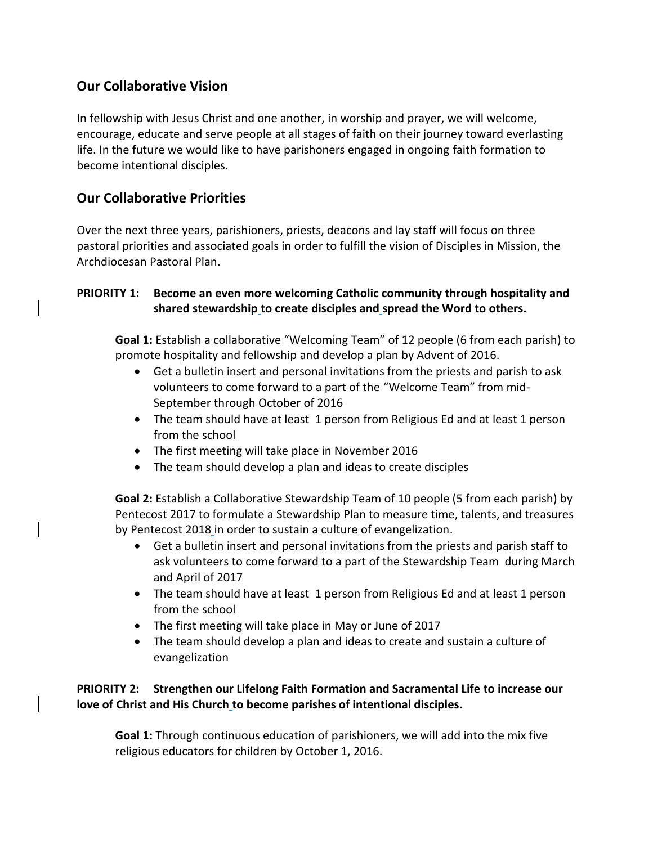## **Our Collaborative Vision**

In fellowship with Jesus Christ and one another, in worship and prayer, we will welcome, encourage, educate and serve people at all stages of faith on their journey toward everlasting life. In the future we would like to have parishoners engaged in ongoing faith formation to become intentional disciples.

## **Our Collaborative Priorities**

Over the next three years, parishioners, priests, deacons and lay staff will focus on three pastoral priorities and associated goals in order to fulfill the vision of Disciples in Mission, the Archdiocesan Pastoral Plan.

#### **PRIORITY 1: Become an even more welcoming Catholic community through hospitality and shared stewardship to create disciples and spread the Word to others.**

**Goal 1:** Establish a collaborative "Welcoming Team" of 12 people (6 from each parish) to promote hospitality and fellowship and develop a plan by Advent of 2016.

- Get a bulletin insert and personal invitations from the priests and parish to ask volunteers to come forward to a part of the "Welcome Team" from mid-September through October of 2016
- The team should have at least 1 person from Religious Ed and at least 1 person from the school
- The first meeting will take place in November 2016
- The team should develop a plan and ideas to create disciples

**Goal 2:** Establish a Collaborative Stewardship Team of 10 people (5 from each parish) by Pentecost 2017 to formulate a Stewardship Plan to measure time, talents, and treasures by Pentecost 2018 in order to sustain a culture of evangelization.

- Get a bulletin insert and personal invitations from the priests and parish staff to ask volunteers to come forward to a part of the Stewardship Team during March and April of 2017
- The team should have at least 1 person from Religious Ed and at least 1 person from the school
- The first meeting will take place in May or June of 2017
- The team should develop a plan and ideas to create and sustain a culture of evangelization

### **PRIORITY 2: Strengthen our Lifelong Faith Formation and Sacramental Life to increase our love of Christ and His Church to become parishes of intentional disciples.**

**Goal 1:** Through continuous education of parishioners, we will add into the mix five religious educators for children by October 1, 2016.